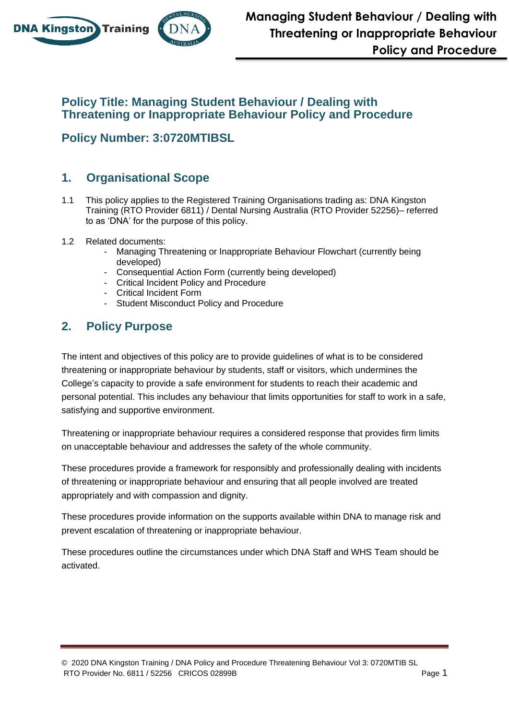

## **Policy Title: Managing Student Behaviour / Dealing with Threatening or Inappropriate Behaviour Policy and Procedure**

**Policy Number: 3:0720MTIBSL**

# **1. Organisational Scope**

- 1.1 This policy applies to the Registered Training Organisations trading as: DNA Kingston Training (RTO Provider 6811) / Dental Nursing Australia (RTO Provider 52256)– referred to as 'DNA' for the purpose of this policy.
- 1.2 Related documents:
	- Managing Threatening or Inappropriate Behaviour Flowchart (currently being developed)
	- Consequential Action Form (currently being developed)
	- Critical Incident Policy and Procedure
	- Critical Incident Form
	- Student Misconduct Policy and Procedure

# **2. Policy Purpose**

The intent and objectives of this policy are to provide guidelines of what is to be considered threatening or inappropriate behaviour by students, staff or visitors, which undermines the College's capacity to provide a safe environment for students to reach their academic and personal potential. This includes any behaviour that limits opportunities for staff to work in a safe, satisfying and supportive environment.

Threatening or inappropriate behaviour requires a considered response that provides firm limits on unacceptable behaviour and addresses the safety of the whole community.

These procedures provide a framework for responsibly and professionally dealing with incidents of threatening or inappropriate behaviour and ensuring that all people involved are treated appropriately and with compassion and dignity.

These procedures provide information on the supports available within DNA to manage risk and prevent escalation of threatening or inappropriate behaviour.

These procedures outline the circumstances under which DNA Staff and WHS Team should be activated.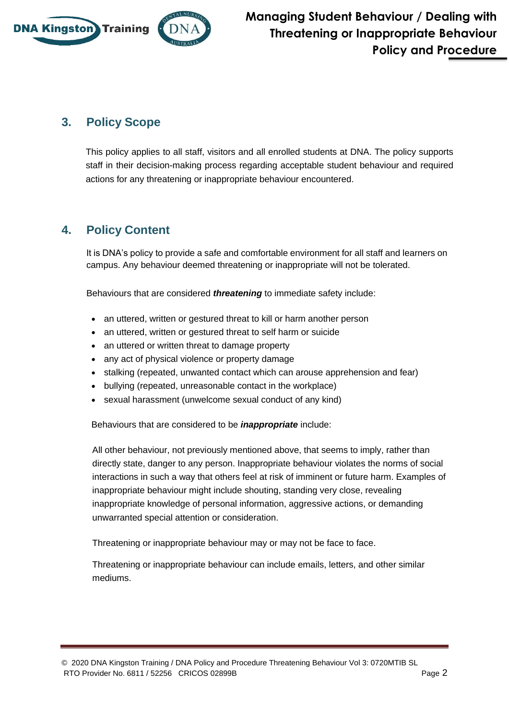

# **3. Policy Scope**

This policy applies to all staff, visitors and all enrolled students at DNA. The policy supports staff in their decision-making process regarding acceptable student behaviour and required actions for any threatening or inappropriate behaviour encountered.

## **4. Policy Content**

It is DNA's policy to provide a safe and comfortable environment for all staff and learners on campus. Any behaviour deemed threatening or inappropriate will not be tolerated.

Behaviours that are considered *threatening* to immediate safety include:

- an uttered, written or gestured threat to kill or harm another person
- an uttered, written or gestured threat to self harm or suicide
- an uttered or written threat to damage property
- any act of physical violence or property damage
- stalking (repeated, unwanted contact which can arouse apprehension and fear)
- bullying (repeated, unreasonable contact in the workplace)
- sexual harassment (unwelcome sexual conduct of any kind)

Behaviours that are considered to be *inappropriate* include:

All other behaviour, not previously mentioned above, that seems to imply, rather than directly state, danger to any person. Inappropriate behaviour violates the norms of social interactions in such a way that others feel at risk of imminent or future harm. Examples of inappropriate behaviour might include shouting, standing very close, revealing inappropriate knowledge of personal information, aggressive actions, or demanding unwarranted special attention or consideration.

Threatening or inappropriate behaviour may or may not be face to face.

Threatening or inappropriate behaviour can include emails, letters, and other similar mediums.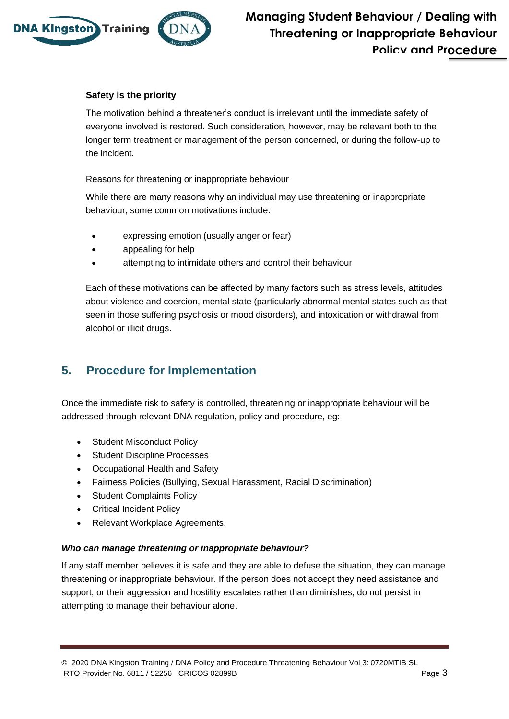

### **Safety is the priority**

The motivation behind a threatener's conduct is irrelevant until the immediate safety of everyone involved is restored. Such consideration, however, may be relevant both to the longer term treatment or management of the person concerned, or during the follow-up to the incident.

Reasons for threatening or inappropriate behaviour

While there are many reasons why an individual may use threatening or inappropriate behaviour, some common motivations include:

- expressing emotion (usually anger or fear)
- appealing for help
- attempting to intimidate others and control their behaviour

Each of these motivations can be affected by many factors such as stress levels, attitudes about violence and coercion, mental state (particularly abnormal mental states such as that seen in those suffering psychosis or mood disorders), and intoxication or withdrawal from alcohol or illicit drugs.

## **5. Procedure for Implementation**

Once the immediate risk to safety is controlled, threatening or inappropriate behaviour will be addressed through relevant DNA regulation, policy and procedure, eg:

- Student Misconduct Policy
- Student Discipline Processes
- Occupational Health and Safety
- Fairness Policies (Bullying, Sexual Harassment, Racial Discrimination)
- Student Complaints Policy
- Critical Incident Policy
- Relevant Workplace Agreements.

#### *Who can manage threatening or inappropriate behaviour?*

If any staff member believes it is safe and they are able to defuse the situation, they can manage threatening or inappropriate behaviour. If the person does not accept they need assistance and support, or their aggression and hostility escalates rather than diminishes, do not persist in attempting to manage their behaviour alone.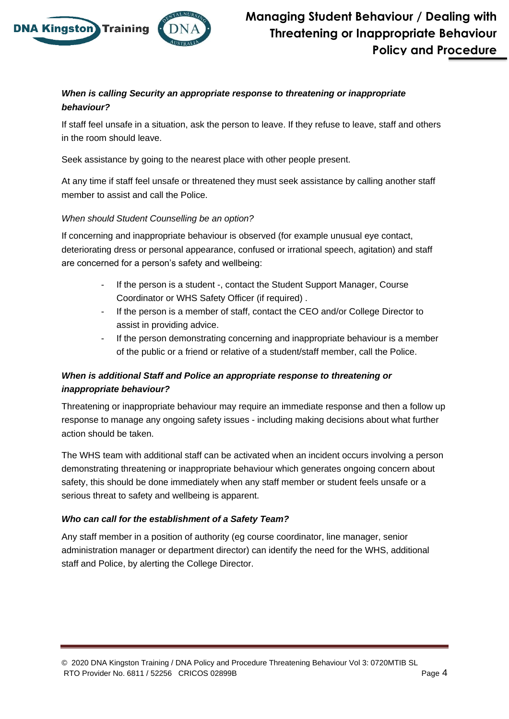

### *When is calling Security an appropriate response to threatening or inappropriate behaviour?*

If staff feel unsafe in a situation, ask the person to leave. If they refuse to leave, staff and others in the room should leave.

Seek assistance by going to the nearest place with other people present.

At any time if staff feel unsafe or threatened they must seek assistance by calling another staff member to assist and call the Police.

### *When should Student Counselling be an option?*

If concerning and inappropriate behaviour is observed (for example unusual eye contact, deteriorating dress or personal appearance, confused or irrational speech, agitation) and staff are concerned for a person's safety and wellbeing:

- If the person is a student -, contact the Student Support Manager, Course Coordinator or WHS Safety Officer (if required) .
- If the person is a member of staff, contact the CEO and/or College Director to assist in providing advice.
- If the person demonstrating concerning and inappropriate behaviour is a member of the public or a friend or relative of a student/staff member, call the Police.

### *When is additional Staff and Police an appropriate response to threatening or inappropriate behaviour?*

Threatening or inappropriate behaviour may require an immediate response and then a follow up response to manage any ongoing safety issues - including making decisions about what further action should be taken.

The WHS team with additional staff can be activated when an incident occurs involving a person demonstrating threatening or inappropriate behaviour which generates ongoing concern about safety, this should be done immediately when any staff member or student feels unsafe or a serious threat to safety and wellbeing is apparent.

### *Who can call for the establishment of a Safety Team?*

Any staff member in a position of authority (eg course coordinator, line manager, senior administration manager or department director) can identify the need for the WHS, additional staff and Police, by alerting the College Director.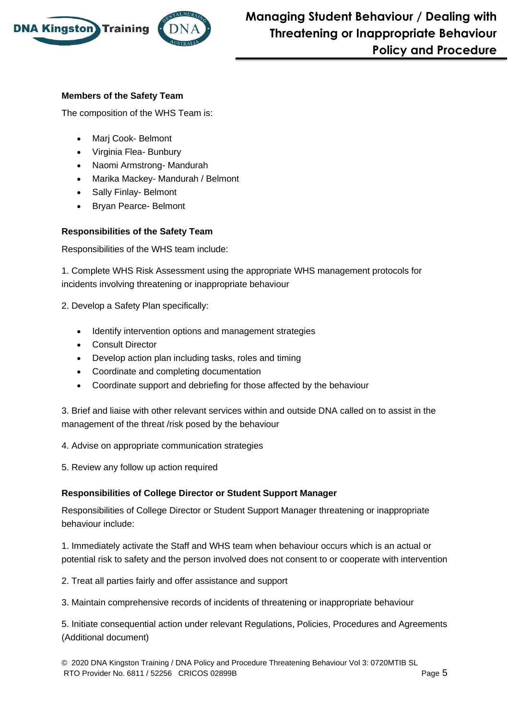

### **Members of the Safety Team**

The composition of the WHS Team is:

- Marj Cook- Belmont
- Virginia Flea- Bunbury
- Naomi Armstrong- Mandurah
- Marika Mackey- Mandurah / Belmont
- Sally Finlay- Belmont
- Bryan Pearce- Belmont

### **Responsibilities of the Safety Team**

Responsibilities of the WHS team include:

1. Complete WHS Risk Assessment using the appropriate WHS management protocols for incidents involving threatening or inappropriate behaviour

- 2. Develop a Safety Plan specifically:
	- Identify intervention options and management strategies
	- Consult Director
	- Develop action plan including tasks, roles and timing
	- Coordinate and completing documentation
	- Coordinate support and debriefing for those affected by the behaviour

3. Brief and liaise with other relevant services within and outside DNA called on to assist in the management of the threat /risk posed by the behaviour

4. Advise on appropriate communication strategies

5. Review any follow up action required

### **Responsibilities of College Director or Student Support Manager**

Responsibilities of College Director or Student Support Manager threatening or inappropriate behaviour include:

1. Immediately activate the Staff and WHS team when behaviour occurs which is an actual or potential risk to safety and the person involved does not consent to or cooperate with intervention

2. Treat all parties fairly and offer assistance and support

3. Maintain comprehensive records of incidents of threatening or inappropriate behaviour

5. Initiate consequential action under relevant Regulations, Policies, Procedures and Agreements (Additional document)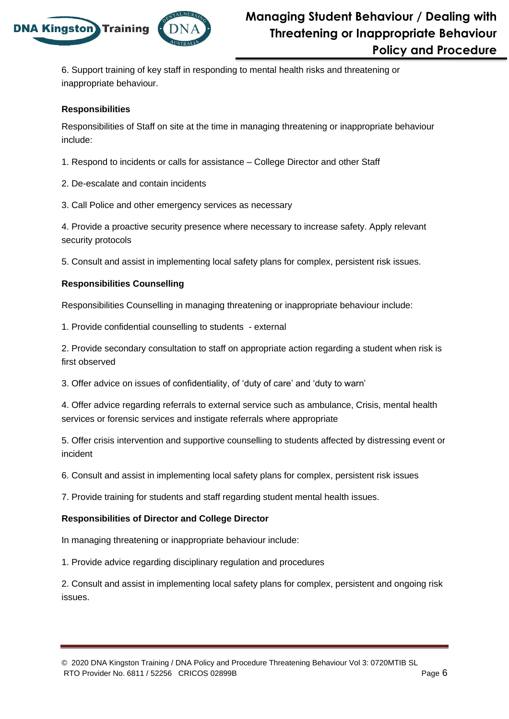

6. Support training of key staff in responding to mental health risks and threatening or inappropriate behaviour.

### **Responsibilities**

Responsibilities of Staff on site at the time in managing threatening or inappropriate behaviour include:

- 1. Respond to incidents or calls for assistance College Director and other Staff
- 2. De-escalate and contain incidents
- 3. Call Police and other emergency services as necessary

4. Provide a proactive security presence where necessary to increase safety. Apply relevant security protocols

5. Consult and assist in implementing local safety plans for complex, persistent risk issues.

### **Responsibilities Counselling**

Responsibilities Counselling in managing threatening or inappropriate behaviour include:

1. Provide confidential counselling to students - external

2. Provide secondary consultation to staff on appropriate action regarding a student when risk is first observed

3. Offer advice on issues of confidentiality, of 'duty of care' and 'duty to warn'

4. Offer advice regarding referrals to external service such as ambulance, Crisis, mental health services or forensic services and instigate referrals where appropriate

5. Offer crisis intervention and supportive counselling to students affected by distressing event or incident

6. Consult and assist in implementing local safety plans for complex, persistent risk issues

7. Provide training for students and staff regarding student mental health issues.

### **Responsibilities of Director and College Director**

In managing threatening or inappropriate behaviour include:

1. Provide advice regarding disciplinary regulation and procedures

2. Consult and assist in implementing local safety plans for complex, persistent and ongoing risk issues.